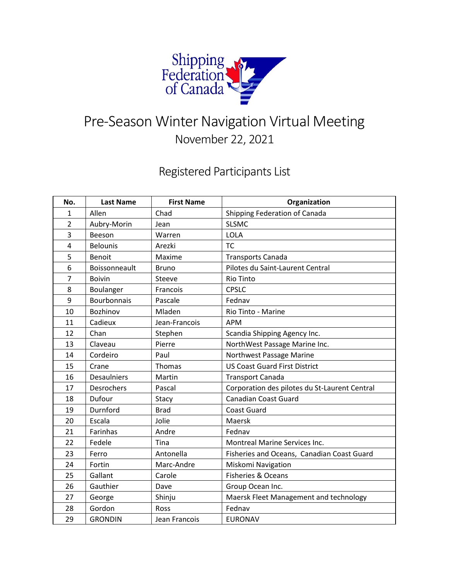

## Pre-Season Winter Navigation Virtual Meeting November 22, 2021

## Registered Participants List

| No.            | <b>Last Name</b>   | <b>First Name</b> | Organization                                  |
|----------------|--------------------|-------------------|-----------------------------------------------|
| $\mathbf{1}$   | Allen              | Chad              | Shipping Federation of Canada                 |
| $\overline{2}$ | Aubry-Morin        | Jean              | <b>SLSMC</b>                                  |
| 3              | Beeson             | Warren            | <b>LOLA</b>                                   |
| 4              | <b>Belounis</b>    | Arezki            | <b>TC</b>                                     |
| 5              | Benoit             | Maxime            | <b>Transports Canada</b>                      |
| 6              | Boissonneault      | <b>Bruno</b>      | Pilotes du Saint-Laurent Central              |
| $\overline{7}$ | <b>Boivin</b>      | Steeve            | <b>Rio Tinto</b>                              |
| 8              | Boulanger          | Francois          | <b>CPSLC</b>                                  |
| 9              | <b>Bourbonnais</b> | Pascale           | Fednav                                        |
| 10             | Bozhinov           | Mladen            | Rio Tinto - Marine                            |
| 11             | Cadieux            | Jean-Francois     | <b>APM</b>                                    |
| 12             | Chan               | Stephen           | Scandia Shipping Agency Inc.                  |
| 13             | Claveau            | Pierre            | NorthWest Passage Marine Inc.                 |
| 14             | Cordeiro           | Paul              | Northwest Passage Marine                      |
| 15             | Crane              | Thomas            | <b>US Coast Guard First District</b>          |
| 16             | <b>Desaulniers</b> | Martin            | <b>Transport Canada</b>                       |
| 17             | Desrochers         | Pascal            | Corporation des pilotes du St-Laurent Central |
| 18             | Dufour             | Stacy             | <b>Canadian Coast Guard</b>                   |
| 19             | Durnford           | <b>Brad</b>       | <b>Coast Guard</b>                            |
| 20             | Escala             | Jolie             | <b>Maersk</b>                                 |
| 21             | Farinhas           | Andre             | Fednav                                        |
| 22             | Fedele             | Tina              | <b>Montreal Marine Services Inc.</b>          |
| 23             | Ferro              | Antonella         | Fisheries and Oceans, Canadian Coast Guard    |
| 24             | Fortin             | Marc-Andre        | Miskomi Navigation                            |
| 25             | Gallant            | Carole            | Fisheries & Oceans                            |
| 26             | Gauthier           | Dave              | Group Ocean Inc.                              |
| 27             | George             | Shinju            | Maersk Fleet Management and technology        |
| 28             | Gordon             | Ross              | Fednav                                        |
| 29             | <b>GRONDIN</b>     | Jean Francois     | <b>EURONAV</b>                                |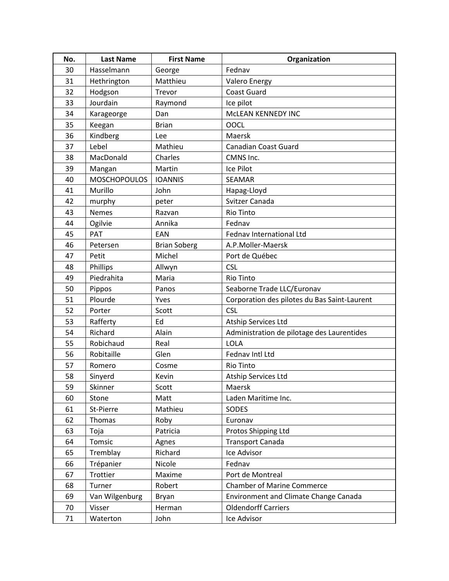| No. | <b>Last Name</b>    | <b>First Name</b>   | Organization                                 |
|-----|---------------------|---------------------|----------------------------------------------|
| 30  | Hasselmann          | George              | Fednav                                       |
| 31  | Hethrington         | Matthieu            | <b>Valero Energy</b>                         |
| 32  | Hodgson             | Trevor              | <b>Coast Guard</b>                           |
| 33  | Jourdain            | Raymond             | Ice pilot                                    |
| 34  | Karageorge          | Dan                 | McLEAN KENNEDY INC                           |
| 35  | Keegan              | <b>Brian</b>        | <b>OOCL</b>                                  |
| 36  | Kindberg            | Lee                 | Maersk                                       |
| 37  | Lebel               | Mathieu             | <b>Canadian Coast Guard</b>                  |
| 38  | MacDonald           | Charles             | CMNS Inc.                                    |
| 39  | Mangan              | Martin              | Ice Pilot                                    |
| 40  | <b>MOSCHOPOULOS</b> | <b>IOANNIS</b>      | <b>SEAMAR</b>                                |
| 41  | Murillo             | John                | Hapag-Lloyd                                  |
| 42  | murphy              | peter               | Svitzer Canada                               |
| 43  | <b>Nemes</b>        | Razvan              | Rio Tinto                                    |
| 44  | Ogilvie             | Annika              | Fednav                                       |
| 45  | <b>PAT</b>          | EAN                 | Fednav International Ltd                     |
| 46  | Petersen            | <b>Brian Soberg</b> | A.P.Moller-Maersk                            |
| 47  | Petit               | Michel              | Port de Québec                               |
| 48  | Phillips            | Allwyn              | <b>CSL</b>                                   |
| 49  | Piedrahita          | Maria               | Rio Tinto                                    |
| 50  | Pippos              | Panos               | Seaborne Trade LLC/Euronav                   |
| 51  | Plourde             | Yves                | Corporation des pilotes du Bas Saint-Laurent |
| 52  | Porter              | Scott               | <b>CSL</b>                                   |
| 53  | Rafferty            | Ed                  | Atship Services Ltd                          |
| 54  | Richard             | Alain               | Administration de pilotage des Laurentides   |
| 55  | Robichaud           | Real                | LOLA                                         |
| 56  | Robitaille          | Glen                | Fednav Intl Ltd                              |
| 57  | Romero              | Cosme               | <b>Rio Tinto</b>                             |
| 58  | Sinyerd             | Kevin               | Atship Services Ltd                          |
| 59  | Skinner             | Scott               | Maersk                                       |
| 60  | Stone               | Matt                | Laden Maritime Inc.                          |
| 61  | St-Pierre           | Mathieu             | SODES                                        |
| 62  | Thomas              | Roby                | Euronav                                      |
| 63  | Toja                | Patricia            | Protos Shipping Ltd                          |
| 64  | Tomsic              | Agnes               | <b>Transport Canada</b>                      |
| 65  | Tremblay            | Richard             | Ice Advisor                                  |
| 66  | Trépanier           | Nicole              | Fednav                                       |
| 67  | Trottier            | Maxime              | Port de Montreal                             |
| 68  | Turner              | Robert              | <b>Chamber of Marine Commerce</b>            |
| 69  | Van Wilgenburg      | Bryan               | <b>Environment and Climate Change Canada</b> |
| 70  | Visser              | Herman              | <b>Oldendorff Carriers</b>                   |
| 71  | Waterton            | John                | Ice Advisor                                  |